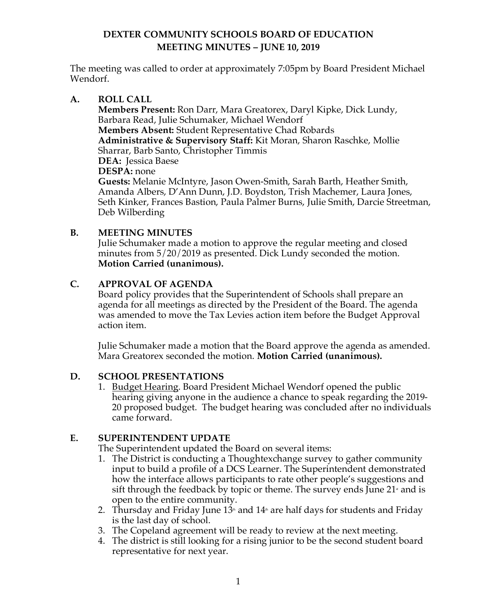The meeting was called to order at approximately 7:05pm by Board President Michael Wendorf.

## **A. ROLL CALL**

**Members Present:** Ron Darr, Mara Greatorex, Daryl Kipke, Dick Lundy, Barbara Read, Julie Schumaker, Michael Wendorf **Members Absent:** Student Representative Chad Robards **Administrative & Supervisory Staff:** Kit Moran, Sharon Raschke, Mollie Sharrar, Barb Santo, Christopher Timmis **DEA:** Jessica Baese **DESPA:** none **Guests:** Melanie McIntyre, Jason Owen-Smith, Sarah Barth, Heather Smith, Amanda Albers, D'Ann Dunn, J.D. Boydston, Trish Machemer, Laura Jones, Seth Kinker, Frances Bastion, Paula Palmer Burns, Julie Smith, Darcie Streetman, Deb Wilberding

## **B. MEETING MINUTES**

Julie Schumaker made a motion to approve the regular meeting and closed minutes from 5/20/2019 as presented. Dick Lundy seconded the motion. **Motion Carried (unanimous).** 

## **C. APPROVAL OF AGENDA**

Board policy provides that the Superintendent of Schools shall prepare an agenda for all meetings as directed by the President of the Board. The agenda was amended to move the Tax Levies action item before the Budget Approval action item.

Julie Schumaker made a motion that the Board approve the agenda as amended. Mara Greatorex seconded the motion. **Motion Carried (unanimous).** 

## **D. SCHOOL PRESENTATIONS**

1. Budget Hearing. Board President Michael Wendorf opened the public hearing giving anyone in the audience a chance to speak regarding the 2019- 20 proposed budget. The budget hearing was concluded after no individuals came forward.

## **E. SUPERINTENDENT UPDATE**

The Superintendent updated the Board on several items:

- 1. The District is conducting a Thoughtexchange survey to gather community input to build a profile of a DCS Learner. The Superintendent demonstrated how the interface allows participants to rate other people's suggestions and sift through the feedback by topic or theme. The survey ends June  $21^*$  and is open to the entire community.
- 2. Thursday and Friday June  $13<sup>th</sup>$  and  $14<sup>th</sup>$  are half days for students and Friday is the last day of school.
- 3. The Copeland agreement will be ready to review at the next meeting.
- 4. The district is still looking for a rising junior to be the second student board representative for next year.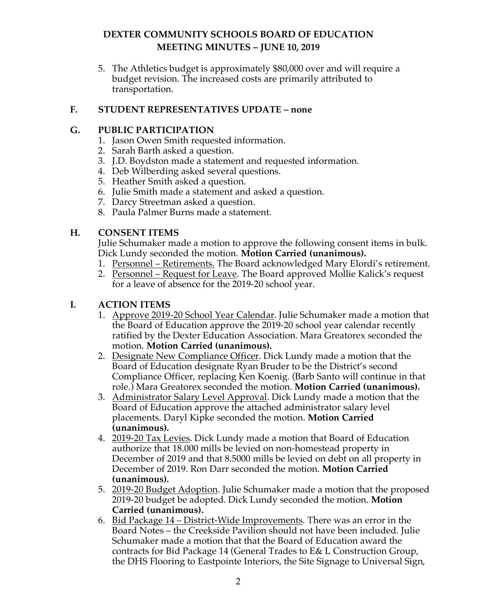5. The Athletics budget is approximately \$80,000 over and will require a budget revision. The increased costs are primarily attributed to transportation.

## **F. STUDENT REPRESENTATIVES UPDATE – none**

## **G. PUBLIC PARTICIPATION**

- 1. Jason Owen Smith requested information.
- 2. Sarah Barth asked a question.
- 3. J.D. Boydston made a statement and requested information.
- 4. Deb Wilberding asked several questions.
- 5. Heather Smith asked a question.
- 6. Julie Smith made a statement and asked a question.
- 7. Darcy Streetman asked a question.
- 8. Paula Palmer Burns made a statement.

## **H. CONSENT ITEMS**

Julie Schumaker made a motion to approve the following consent items in bulk. Dick Lundy seconded the motion. **Motion Carried (unanimous).** 

- 1. Personnel Retirements. The Board acknowledged Mary Elordi's retirement.
- 2. Personnel Request for Leave. The Board approved Mollie Kalick's request for a leave of absence for the 2019-20 school year.

# **I. ACTION ITEMS**

- 1. Approve 2019-20 School Year Calendar. Julie Schumaker made a motion that the Board of Education approve the 2019-20 school year calendar recently ratified by the Dexter Education Association. Mara Greatorex seconded the motion. **Motion Carried (unanimous).**
- 2. Designate New Compliance Officer. Dick Lundy made a motion that the Board of Education designate Ryan Bruder to be the District's second Compliance Officer, replacing Ken Koenig. (Barb Santo will continue in that role.) Mara Greatorex seconded the motion. **Motion Carried (unanimous).**
- 3. Administrator Salary Level Approval. Dick Lundy made a motion that the Board of Education approve the attached administrator salary level placements. Daryl Kipke seconded the motion. **Motion Carried (unanimous).**
- 4. 2019-20 Tax Levies. Dick Lundy made a motion that Board of Education authorize that 18.000 mills be levied on non-homestead property in December of 2019 and that 8.5000 mills be levied on debt on all property in December of 2019. Ron Darr seconded the motion. **Motion Carried (unanimous).**
- 5. 2019-20 Budget Adoption. Julie Schumaker made a motion that the proposed 2019-20 budget be adopted. Dick Lundy seconded the motion. **Motion Carried (unanimous).**
- 6. Bid Package 14 District-Wide Improvements. There was an error in the Board Notes – the Creekside Pavilion should not have been included. Julie Schumaker made a motion that that the Board of Education award the contracts for Bid Package 14 (General Trades to E& L Construction Group, the DHS Flooring to Eastpointe Interiors, the Site Signage to Universal Sign,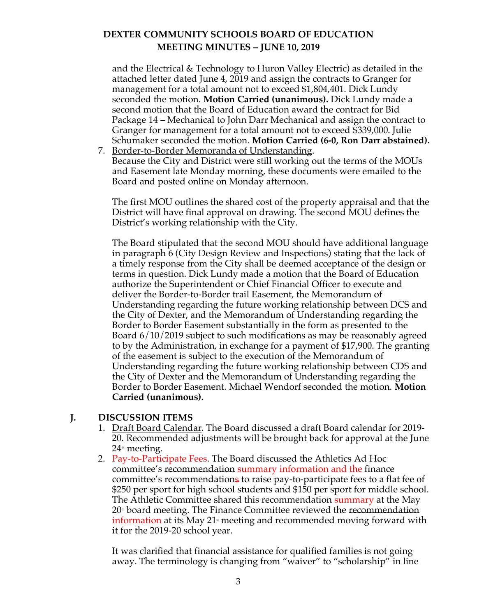and the Electrical & Technology to Huron Valley Electric) as detailed in the attached letter dated June 4, 2019 and assign the contracts to Granger for management for a total amount not to exceed \$1,804,401. Dick Lundy seconded the motion. **Motion Carried (unanimous).** Dick Lundy made a second motion that the Board of Education award the contract for Bid Package 14 – Mechanical to John Darr Mechanical and assign the contract to Granger for management for a total amount not to exceed \$339,000. Julie Schumaker seconded the motion. **Motion Carried (6-0, Ron Darr abstained).**

7. Border-to-Border Memoranda of Understanding. Because the City and District were still working out the terms of the MOUs and Easement late Monday morning, these documents were emailed to the Board and posted online on Monday afternoon.

The first MOU outlines the shared cost of the property appraisal and that the District will have final approval on drawing. The second MOU defines the District's working relationship with the City.

The Board stipulated that the second MOU should have additional language in paragraph 6 (City Design Review and Inspections) stating that the lack of a timely response from the City shall be deemed acceptance of the design or terms in question. Dick Lundy made a motion that the Board of Education authorize the Superintendent or Chief Financial Officer to execute and deliver the Border-to-Border trail Easement, the Memorandum of Understanding regarding the future working relationship between DCS and the City of Dexter, and the Memorandum of Understanding regarding the Border to Border Easement substantially in the form as presented to the Board 6/10/2019 subject to such modifications as may be reasonably agreed to by the Administration, in exchange for a payment of \$17,900. The granting of the easement is subject to the execution of the Memorandum of Understanding regarding the future working relationship between CDS and the City of Dexter and the Memorandum of Understanding regarding the Border to Border Easement. Michael Wendorf seconded the motion. **Motion Carried (unanimous).** 

## **J. DISCUSSION ITEMS**

- 1. Draft Board Calendar. The Board discussed a draft Board calendar for 2019- 20. Recommended adjustments will be brought back for approval at the June 24<sup>th</sup> meeting.
- 2. Pay-to-Participate Fees. The Board discussed the Athletics Ad Hoc committee's recommendation summary information and the finance committee's recommendations to raise pay-to-participate fees to a flat fee of \$250 per sport for high school students and \$150 per sport for middle school. The Athletic Committee shared this recommendation summary at the May  $20<sup>th</sup>$  board meeting. The Finance Committee reviewed the recommendation information at its May  $21<sup>*</sup>$  meeting and recommended moving forward with it for the 2019-20 school year.

It was clarified that financial assistance for qualified families is not going away. The terminology is changing from "waiver" to "scholarship" in line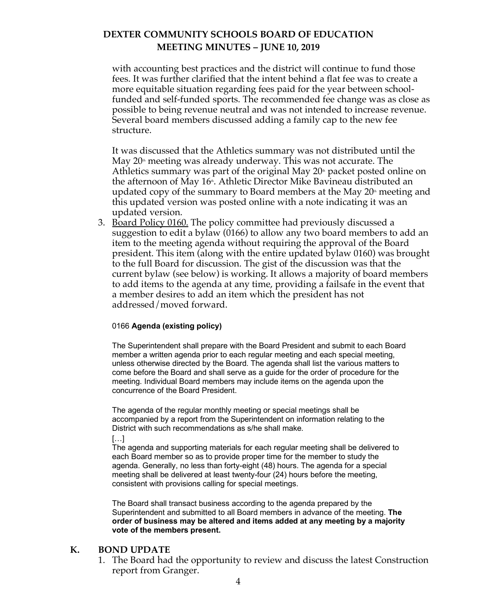with accounting best practices and the district will continue to fund those fees. It was further clarified that the intent behind a flat fee was to create a more equitable situation regarding fees paid for the year between schoolfunded and self-funded sports. The recommended fee change was as close as possible to being revenue neutral and was not intended to increase revenue. Several board members discussed adding a family cap to the new fee structure.

It was discussed that the Athletics summary was not distributed until the May  $20<sup>th</sup>$  meeting was already underway. This was not accurate. The Athletics summary was part of the original May  $20<sup>th</sup>$  packet posted online on the afternoon of May 16<sup>th</sup>. Athletic Director Mike Bavineau distributed an updated copy of the summary to Board members at the May  $20<sup>th</sup>$  meeting and this updated version was posted online with a note indicating it was an updated version.

3. Board Policy 0160. The policy committee had previously discussed a suggestion to edit a bylaw (0166) to allow any two board members to add an item to the meeting agenda without requiring the approval of the Board president. This item (along with the entire updated bylaw 0160) was brought to the full Board for discussion. The gist of the discussion was that the current bylaw (see below) is working. It allows a majority of board members to add items to the agenda at any time, providing a failsafe in the event that a member desires to add an item which the president has not addressed/moved forward.

#### 0166 **Agenda (existing policy)**

The Superintendent shall prepare with the Board President and submit to each Board member a written agenda prior to each regular meeting and each special meeting, unless otherwise directed by the Board. The agenda shall list the various matters to come before the Board and shall serve as a guide for the order of procedure for the meeting. Individual Board members may include items on the agenda upon the concurrence of the Board President.

The agenda of the regular monthly meeting or special meetings shall be accompanied by a report from the Superintendent on information relating to the District with such recommendations as s/he shall make.

[…]

The agenda and supporting materials for each regular meeting shall be delivered to each Board member so as to provide proper time for the member to study the agenda. Generally, no less than forty-eight (48) hours. The agenda for a special meeting shall be delivered at least twenty-four (24) hours before the meeting, consistent with provisions calling for special meetings.

The Board shall transact business according to the agenda prepared by the Superintendent and submitted to all Board members in advance of the meeting. **The order of business may be altered and items added at any meeting by a majority vote of the members present.**

#### **K. BOND UPDATE**

1. The Board had the opportunity to review and discuss the latest Construction report from Granger.